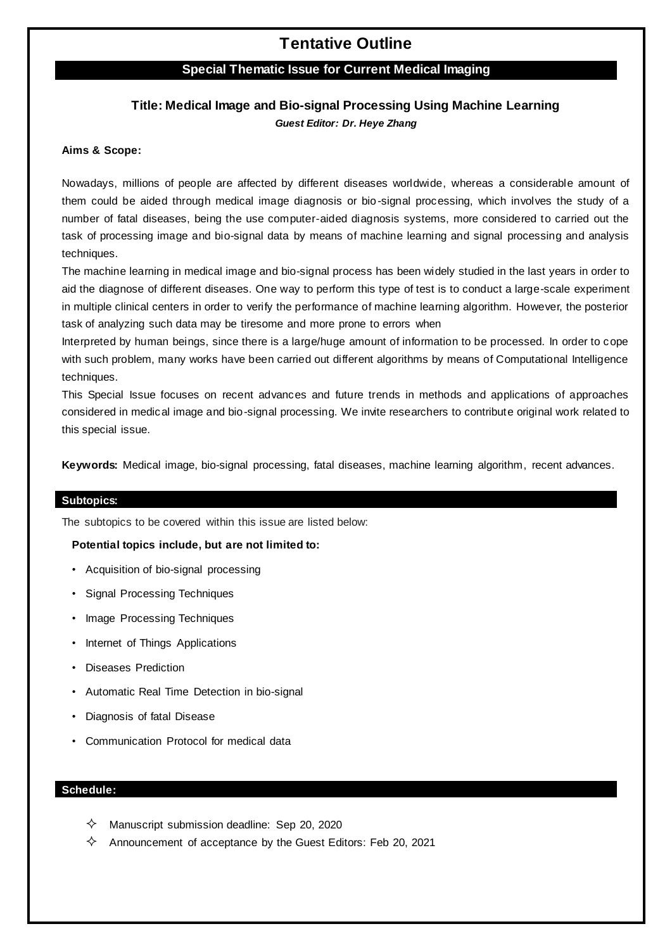# **Tentative Outline**

### **Special Thematic Issue for Current Medical Imaging**

### **Title: Medical Image and Bio-signal Processing Using Machine Learning** *Guest Editor: Dr. Heye Zhang*

#### **Aims & Scope:**

Nowadays, millions of people are affected by different diseases worldwide, whereas a considerable amount of them could be aided through medical image diagnosis or bio-signal processing, which involves the study of a number of fatal diseases, being the use computer-aided diagnosis systems, more considered to carried out the task of processing image and bio-signal data by means of machine learning and signal processing and analysis techniques.

The machine learning in medical image and bio-signal process has been widely studied in the last years in order to aid the diagnose of different diseases. One way to perform this type of test is to conduct a large-scale experiment in multiple clinical centers in order to verify the performance of machine learning algorithm. However, the posterior task of analyzing such data may be tiresome and more prone to errors when

Interpreted by human beings, since there is a large/huge amount of information to be processed. In order to cope with such problem, many works have been carried out different algorithms by means of Computational Intelligence techniques.

This Special Issue focuses on recent advances and future trends in methods and applications of approaches considered in medical image and bio-signal processing. We invite researchers to contribute original work related to this special issue.

**Keywords:** Medical image, bio-signal processing, fatal diseases, machine learning algorithm, recent advances.

#### **Subtopics:**

The subtopics to be covered within this issue are listed below:

#### **Potential topics include, but are not limited to:**

- Acquisition of bio-signal processing
- Signal Processing Techniques
- Image Processing Techniques
- Internet of Things Applications
- Diseases Prediction
- Automatic Real Time Detection in bio-signal
- Diagnosis of fatal Disease
- Communication Protocol for medical data

### **Schedule:**

- $\diamondsuit$  Manuscript submission deadline: Sep 20, 2020
- $\diamondsuit$  Announcement of acceptance by the Guest Editors: Feb 20, 2021